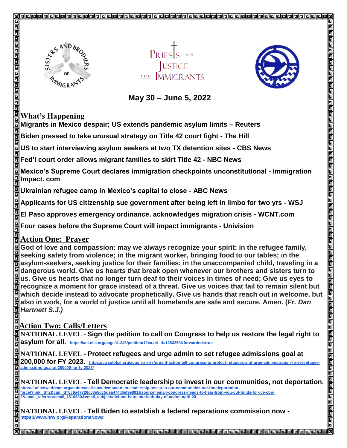





## **May 30 – June 5, 2022**

## **What's Happening**

**Migrants in Mexico despair; US extends pandemic asylum limits – Reuters**

**Biden pressed to take unusual strategy on Title 42 court fight - The Hill**

**US to start interviewing asylum seekers at two TX detention sites - CBS News**

**Fed'l court order allows migrant families to skirt Title 42 - NBC News**

**Mexico's Supreme Court declares immigration checkpoints unconstitutional - Immigration Impact. com**

**Ukrainian refugee camp in Mexico's capital to close - ABC News**

**Applicants for US citizenship sue government after being left in limbo for two yrs - WSJ**

**El Paso approves emergency ordinance. acknowledges migration crisis - WCNT.com**

**Four cases before the Supreme Court will impact immigrants - Univision**

## **Action One: Prayer**

**God of love and compassion: may we always recognize your spirit: in the refugee family, seeking safety from violence; in the migrant worker, bringing food to our tables; in the asylum-seekers, seeking justice for their families; in the unaccompanied child, traveling in a dangerous world. Give us hearts that break open whenever our brothers and sisters turn to us. Give us hearts that no longer turn deaf to their voices in times of need; Give us eyes to recognize a moment for grace instead of a threat. Give us voices that fail to remain silent but which decide instead to advocate prophetically. Give us hands that reach out in welcome, but also in work, for a world of justice until all homelands are safe and secure. Amen. (***Fr. Dan Hartnett S.J.)*

## **Action Two: Calls/Letters**

**NATIONAL LEVEL - Sign the petition to call on Congress to help us restore the legal right to asylum for all. https://act.nilc.org/page/41246/petition/1?ea.url.id=1283259&forwarded=true**

**NATIONAL LEVEL - Protect refugees and urge admin to set refugee admissions goal at 200,000 for FY 2023. https://cwsglobal.org/action-alerts/urgent-action-tell-congress-to-protect-refugees-and-urge-administration-to-set-refugeeadmissions-goal-at-200000-for-fy-2023/**

**NATIONAL LEVEL - Tell Democratic leadership to invest in our communities, not deportation. https://unitedwedream.org/actions/call-now-demand-dem-leadership-invest-in-our-communities-not-the-deportationforce/?link\_id=2&can\_id=8c6a47726c08e5dc5dea47406ef9e881&source=email-congress-needs-to-hear-from-you-cut-funds-for-ice-cbp-2&email\_referrer=email\_1510630&email\_subject=defund-hate-interfaith-day-of-action-april-20**

**NATIONAL LEVEL - Tell Biden to establish a federal reparations commission now https://www.hrw.org/ReparationsNow#**